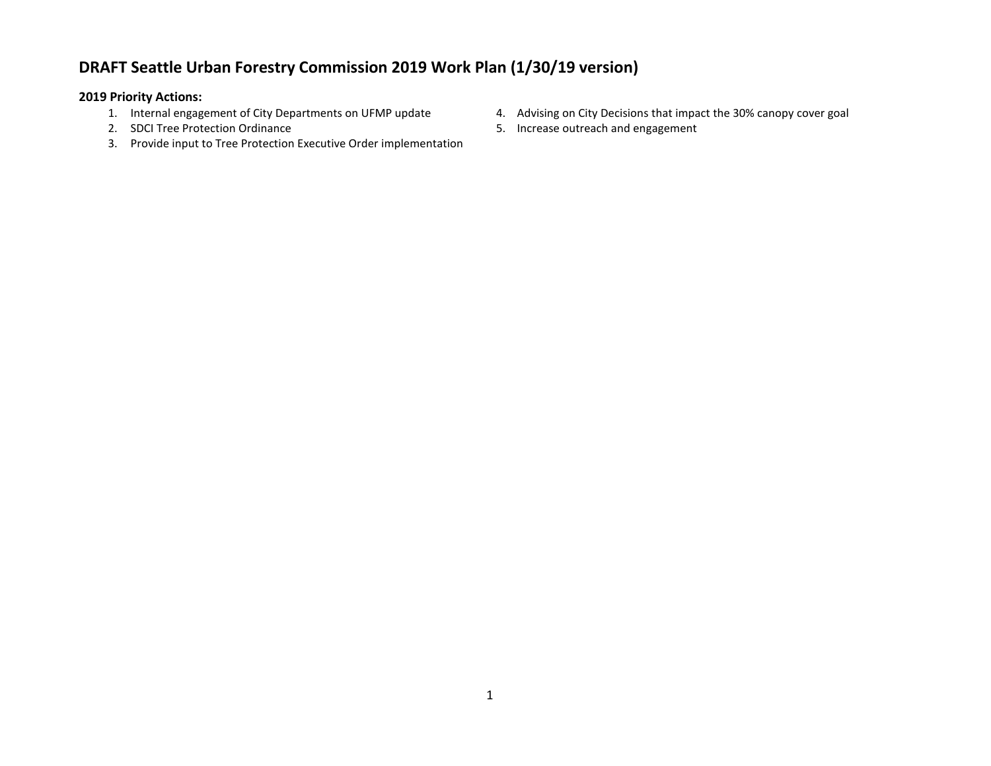## **DRAFT Seattle Urban Forestry Commission 2019 Work Plan (1/30/19 version)**

## **2019 Priority Actions:**

- 
- 2. SDCI Tree Protection Ordinance
- 3. Provide input to Tree Protection Executive Order implementation
- 1. Internal engagement of City Departments on UFMP update 4. Advising on City Decisions that impact the 30% canopy cover goal
	- 5. Increase outreach and engagement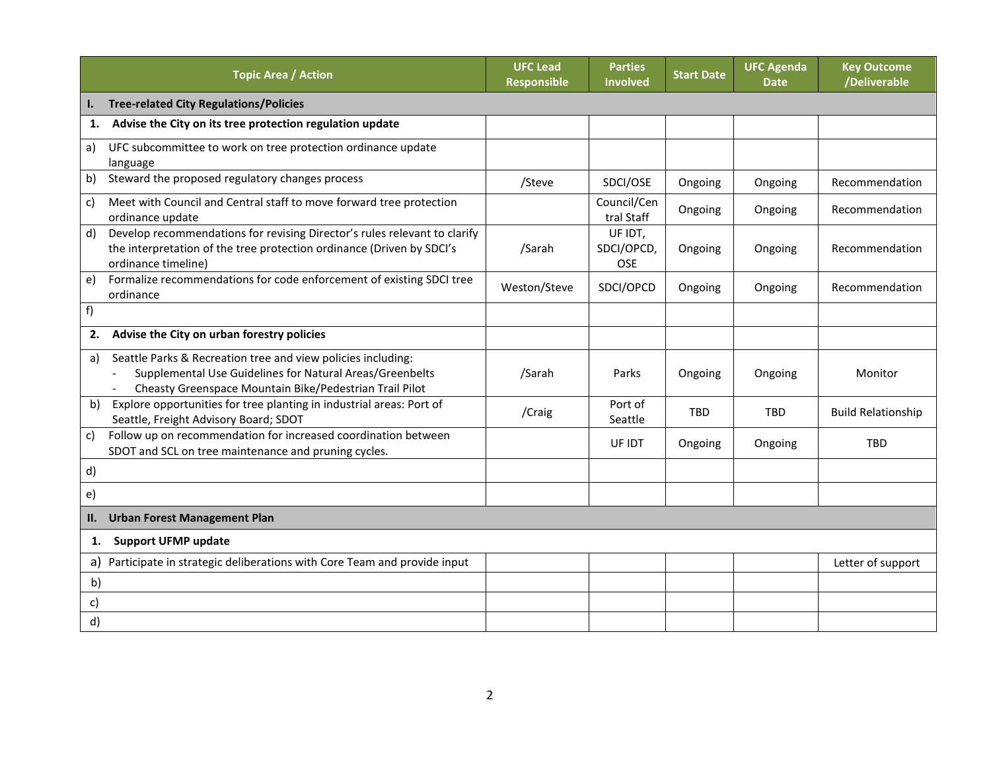|     | <b>Topic Area / Action</b>                                                                                                                                                          | <b>UFC Lead</b><br><b>Responsible</b> | <b>Parties</b><br><b>Involved</b>   | <b>Start Date</b> | <b>UFC Agenda</b><br><b>Date</b> | <b>Key Outcome</b><br>/Deliverable |
|-----|-------------------------------------------------------------------------------------------------------------------------------------------------------------------------------------|---------------------------------------|-------------------------------------|-------------------|----------------------------------|------------------------------------|
| Ι.  | <b>Tree-related City Regulations/Policies</b>                                                                                                                                       |                                       |                                     |                   |                                  |                                    |
| 1.  | Advise the City on its tree protection regulation update                                                                                                                            |                                       |                                     |                   |                                  |                                    |
| a)  | UFC subcommittee to work on tree protection ordinance update<br>language                                                                                                            |                                       |                                     |                   |                                  |                                    |
| b)  | Steward the proposed regulatory changes process                                                                                                                                     | /Steve                                | SDCI/OSE                            | Ongoing           | Ongoing                          | Recommendation                     |
| c)  | Meet with Council and Central staff to move forward tree protection<br>ordinance update                                                                                             |                                       | Council/Cen<br>tral Staff           | Ongoing           | Ongoing                          | Recommendation                     |
| d)  | Develop recommendations for revising Director's rules relevant to clarify<br>the interpretation of the tree protection ordinance (Driven by SDCI's<br>ordinance timeline)           | /Sarah                                | UF IDT,<br>SDCI/OPCD,<br><b>OSE</b> | Ongoing           | Ongoing                          | Recommendation                     |
| e)  | Formalize recommendations for code enforcement of existing SDCI tree<br>ordinance                                                                                                   | Weston/Steve                          | SDCI/OPCD                           | Ongoing           | Ongoing                          | Recommendation                     |
| f)  |                                                                                                                                                                                     |                                       |                                     |                   |                                  |                                    |
| 2.  | Advise the City on urban forestry policies                                                                                                                                          |                                       |                                     |                   |                                  |                                    |
| a)  | Seattle Parks & Recreation tree and view policies including:<br>Supplemental Use Guidelines for Natural Areas/Greenbelts<br>Cheasty Greenspace Mountain Bike/Pedestrian Trail Pilot | /Sarah                                | Parks                               | Ongoing           | Ongoing                          | Monitor                            |
| b)  | Explore opportunities for tree planting in industrial areas: Port of<br>Seattle, Freight Advisory Board; SDOT                                                                       | /Craig                                | Port of<br>Seattle                  | <b>TBD</b>        | <b>TBD</b>                       | <b>Build Relationship</b>          |
| c)  | Follow up on recommendation for increased coordination between<br>SDOT and SCL on tree maintenance and pruning cycles.                                                              |                                       | UF IDT                              | Ongoing           | Ongoing                          | <b>TBD</b>                         |
| d)  |                                                                                                                                                                                     |                                       |                                     |                   |                                  |                                    |
| e)  |                                                                                                                                                                                     |                                       |                                     |                   |                                  |                                    |
| II. | <b>Urban Forest Management Plan</b>                                                                                                                                                 |                                       |                                     |                   |                                  |                                    |
| 1.  | <b>Support UFMP update</b>                                                                                                                                                          |                                       |                                     |                   |                                  |                                    |
| a)  | Participate in strategic deliberations with Core Team and provide input                                                                                                             |                                       |                                     |                   |                                  | Letter of support                  |
| b)  |                                                                                                                                                                                     |                                       |                                     |                   |                                  |                                    |
| C)  |                                                                                                                                                                                     |                                       |                                     |                   |                                  |                                    |
| d)  |                                                                                                                                                                                     |                                       |                                     |                   |                                  |                                    |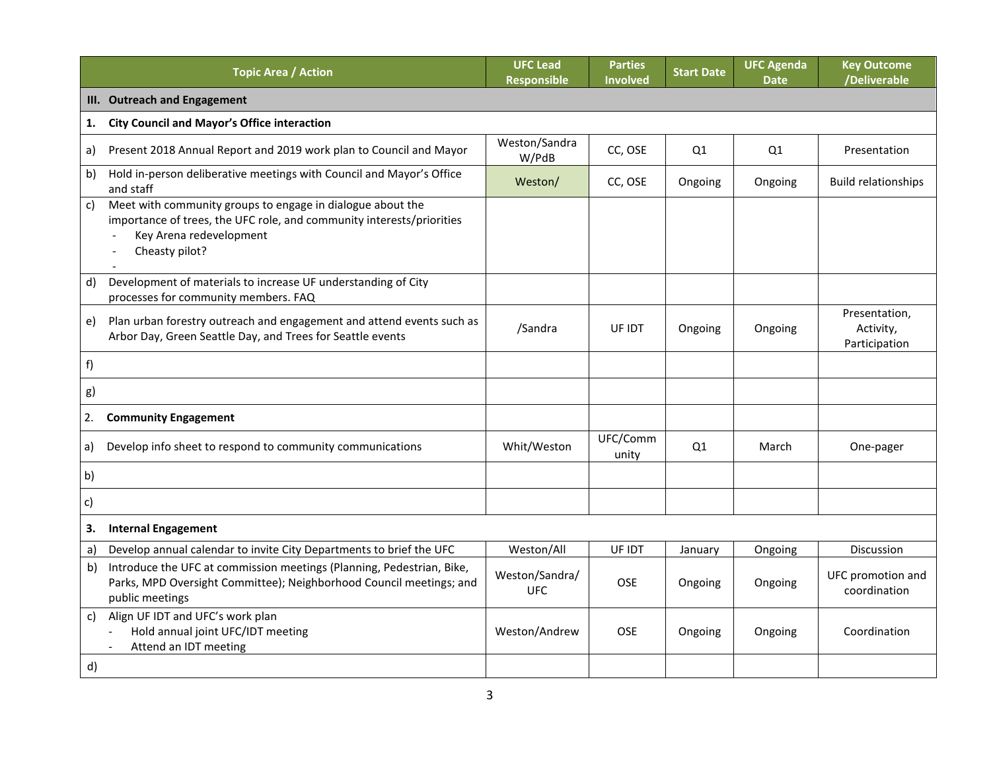|              | <b>Topic Area / Action</b>                                                                                                                                                       | <b>UFC Lead</b><br><b>Responsible</b> | <b>Parties</b><br><b>Involved</b> | <b>Start Date</b> | <b>UFC Agenda</b><br><b>Date</b> | <b>Key Outcome</b><br>/Deliverable          |
|--------------|----------------------------------------------------------------------------------------------------------------------------------------------------------------------------------|---------------------------------------|-----------------------------------|-------------------|----------------------------------|---------------------------------------------|
|              | III. Outreach and Engagement                                                                                                                                                     |                                       |                                   |                   |                                  |                                             |
| 1.           | <b>City Council and Mayor's Office interaction</b>                                                                                                                               |                                       |                                   |                   |                                  |                                             |
| a)           | Present 2018 Annual Report and 2019 work plan to Council and Mayor                                                                                                               | Weston/Sandra<br>W/PdB                | CC, OSE                           | Q1                | Q1                               | Presentation                                |
| b)           | Hold in-person deliberative meetings with Council and Mayor's Office<br>and staff                                                                                                | Weston/                               | CC, OSE                           | Ongoing           | Ongoing                          | <b>Build relationships</b>                  |
| $\mathsf{C}$ | Meet with community groups to engage in dialogue about the<br>importance of trees, the UFC role, and community interests/priorities<br>Key Arena redevelopment<br>Cheasty pilot? |                                       |                                   |                   |                                  |                                             |
| d)           | Development of materials to increase UF understanding of City<br>processes for community members. FAQ                                                                            |                                       |                                   |                   |                                  |                                             |
| e)           | Plan urban forestry outreach and engagement and attend events such as<br>Arbor Day, Green Seattle Day, and Trees for Seattle events                                              | /Sandra                               | UF IDT                            | Ongoing           | Ongoing                          | Presentation,<br>Activity,<br>Participation |
| f)           |                                                                                                                                                                                  |                                       |                                   |                   |                                  |                                             |
| g)           |                                                                                                                                                                                  |                                       |                                   |                   |                                  |                                             |
| 2.           | <b>Community Engagement</b>                                                                                                                                                      |                                       |                                   |                   |                                  |                                             |
| a)           | Develop info sheet to respond to community communications                                                                                                                        | Whit/Weston                           | UFC/Comm<br>unity                 | Q1                | March                            | One-pager                                   |
| b)           |                                                                                                                                                                                  |                                       |                                   |                   |                                  |                                             |
| c)           |                                                                                                                                                                                  |                                       |                                   |                   |                                  |                                             |
| 3.           | <b>Internal Engagement</b>                                                                                                                                                       |                                       |                                   |                   |                                  |                                             |
| a)           | Develop annual calendar to invite City Departments to brief the UFC                                                                                                              | Weston/All                            | UF IDT                            | January           | Ongoing                          | Discussion                                  |
| b)           | Introduce the UFC at commission meetings (Planning, Pedestrian, Bike,<br>Parks, MPD Oversight Committee); Neighborhood Council meetings; and<br>public meetings                  | Weston/Sandra/<br><b>UFC</b>          | <b>OSE</b>                        | Ongoing           | Ongoing                          | UFC promotion and<br>coordination           |
| c)           | Align UF IDT and UFC's work plan<br>Hold annual joint UFC/IDT meeting<br>Attend an IDT meeting                                                                                   | Weston/Andrew                         | <b>OSE</b>                        | Ongoing           | Ongoing                          | Coordination                                |
| d)           |                                                                                                                                                                                  |                                       |                                   |                   |                                  |                                             |